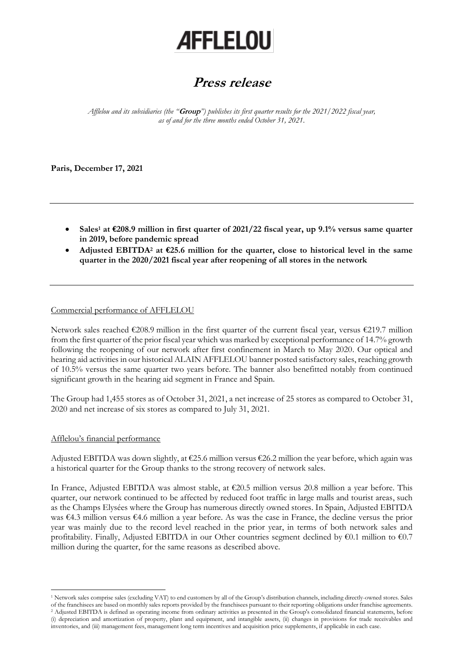# **AFFLELOU**

# **Press release**

*Afflelou and its subsidiaries (the "***Group***") publishes its first quarter results for the 2021/2022 fiscal year, as of and for the three months ended October 31, 2021.*

**Paris, December 17, 2021** 

- **Sales<sup>1</sup> at €208.9 million in first quarter of 2021/22 fiscal year, up 9.1% versus same quarter in 2019, before pandemic spread**
- **Adjusted EBITDA<sup>2</sup> at €25.6 million for the quarter, close to historical level in the same quarter in the 2020/2021 fiscal year after reopening of all stores in the network**

### Commercial performance of AFFLELOU

Network sales reached €208.9 million in the first quarter of the current fiscal year, versus €219.7 million from the first quarter of the prior fiscal year which was marked by exceptional performance of 14.7% growth following the reopening of our network after first confinement in March to May 2020. Our optical and hearing aid activities in our historical ALAIN AFFLELOU banner posted satisfactory sales, reaching growth of 10.5% versus the same quarter two years before. The banner also benefitted notably from continued significant growth in the hearing aid segment in France and Spain.

The Group had 1,455 stores as of October 31, 2021, a net increase of 25 stores as compared to October 31, 2020 and net increase of six stores as compared to July 31, 2021.

## Afflelou's financial performance

Adjusted EBITDA was down slightly, at  $\epsilon$ 25.6 million versus  $\epsilon$ 26.2 million the year before, which again was a historical quarter for the Group thanks to the strong recovery of network sales.

In France, Adjusted EBITDA was almost stable, at €20.5 million versus 20.8 million a year before. This quarter, our network continued to be affected by reduced foot traffic in large malls and tourist areas, such as the Champs Elysées where the Group has numerous directly owned stores. In Spain, Adjusted EBITDA was €4.3 million versus €4.6 million a year before. As was the case in France, the decline versus the prior year was mainly due to the record level reached in the prior year, in terms of both network sales and profitability. Finally, Adjusted EBITDA in our Other countries segment declined by  $\epsilon$ 0.1 million to  $\epsilon$ 0.7 million during the quarter, for the same reasons as described above.

<sup>1</sup> Network sales comprise sales (excluding VAT) to end customers by all of the Group's distribution channels, including directly-owned stores. Sales of the franchisees are based on monthly sales reports provided by the franchisees pursuant to their reporting obligations under franchise agreements. <sup>2</sup> Adjusted EBITDA is defined as operating income from ordinary activities as presented in the Group's consolidated financial statements, before

<sup>(</sup>i) depreciation and amortization of property, plant and equipment, and intangible assets, (ii) changes in provisions for trade receivables and inventories, and (iii) management fees, management long term incentives and acquisition price supplements, if applicable in each case.